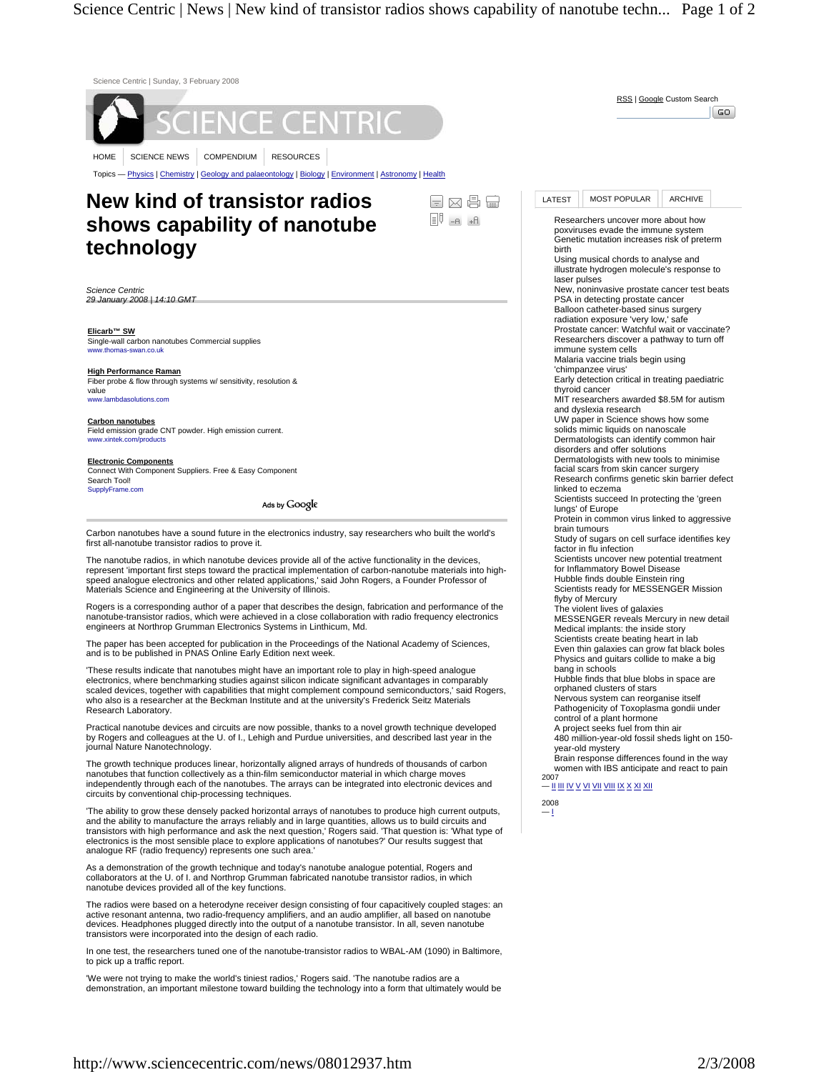